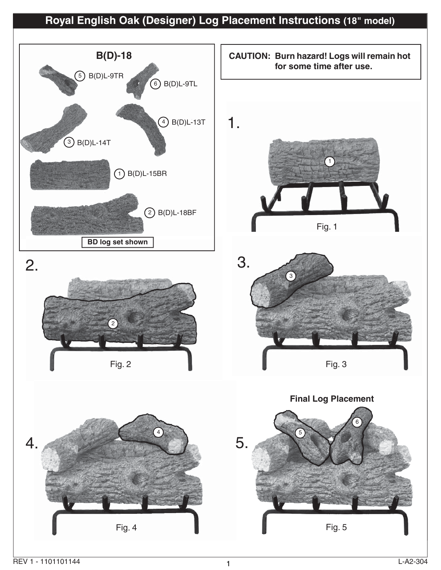# **Royal English Oak (Designer) Log Placement Instructions (18" model)**

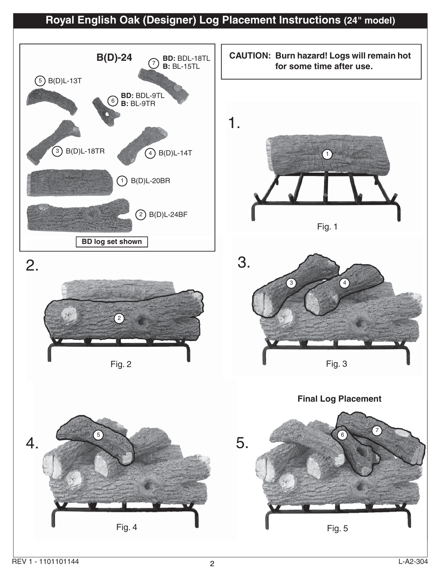## **Royal English Oak (Designer) Log Placement Instructions (24" model)**

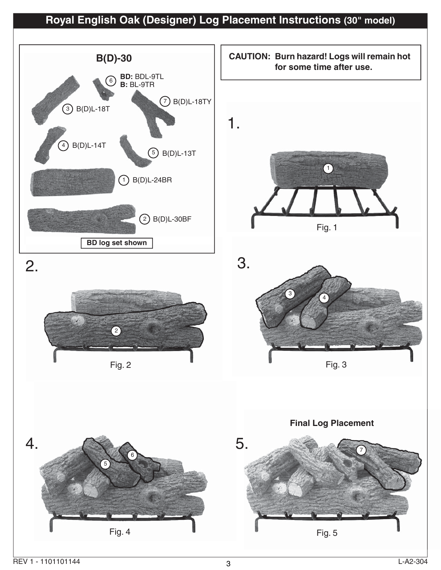# **Royal English Oak (Designer) Log Placement Instructions (30" model)**

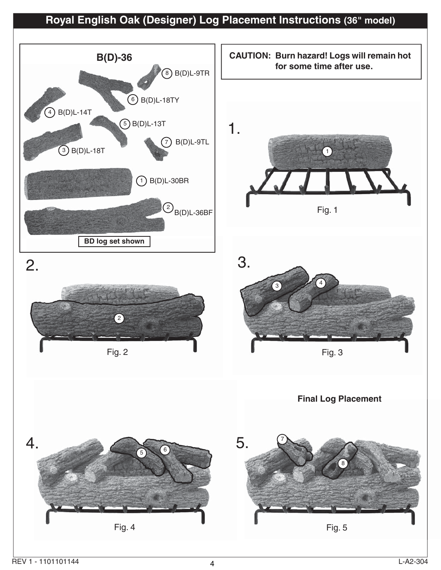# **Royal English Oak (Designer) Log Placement Instructions (36" model)**

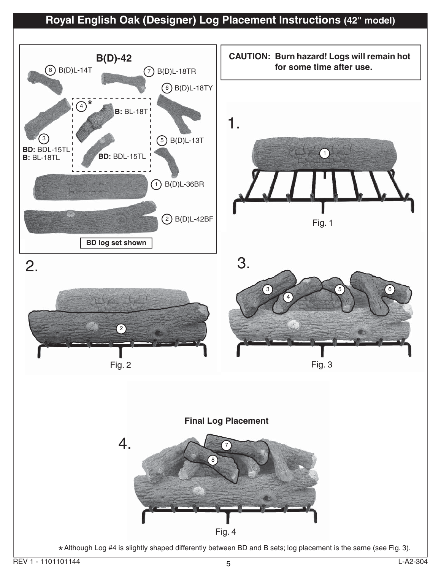## **Royal English Oak (Designer) Log Placement Instructions (42" model)**